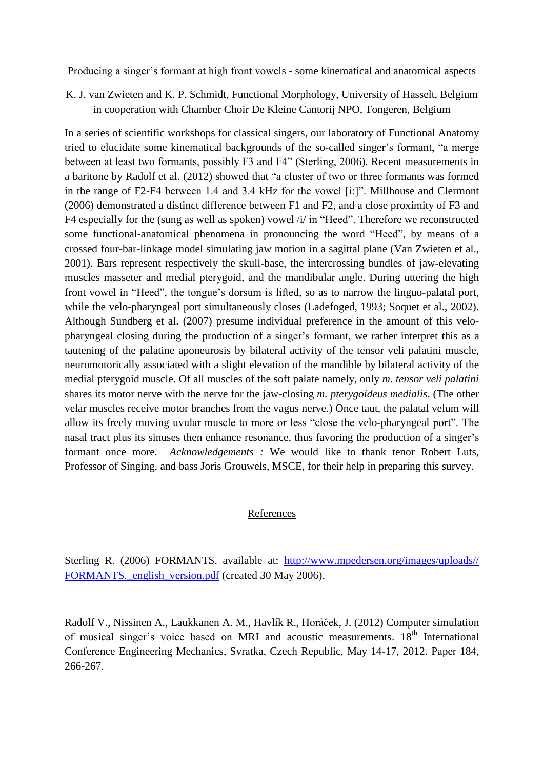Producing a singer's formant at high front vowels - some kinematical and anatomical aspects

K. J. van Zwieten and K. P. Schmidt, Functional Morphology, University of Hasselt, Belgium in cooperation with Chamber Choir De Kleine Cantorij NPO, Tongeren, Belgium

In a series of scientific workshops for classical singers, our laboratory of Functional Anatomy tried to elucidate some kinematical backgrounds of the so-called singer's formant, "a merge between at least two formants, possibly F3 and F4" (Sterling, 2006). Recent measurements in a baritone by Radolf et al. (2012) showed that "a cluster of two or three formants was formed in the range of F2-F4 between 1.4 and 3.4 kHz for the vowel [i:]". Millhouse and Clermont (2006) demonstrated a distinct difference between F1 and F2, and a close proximity of F3 and F4 especially for the (sung as well as spoken) vowel /i/ in "Heed". Therefore we reconstructed some functional-anatomical phenomena in pronouncing the word "Heed", by means of a crossed four-bar-linkage model simulating jaw motion in a sagittal plane (Van Zwieten et al., 2001). Bars represent respectively the skull-base, the intercrossing bundles of jaw-elevating muscles masseter and medial pterygoid, and the mandibular angle. During uttering the high front vowel in "Heed", the tongue's dorsum is lifted, so as to narrow the linguo-palatal port, while the velo-pharyngeal port simultaneously closes (Ladefoged, 1993; Soquet et al., 2002). Although Sundberg et al. (2007) presume individual preference in the amount of this velopharyngeal closing during the production of a singer's formant, we rather interpret this as a tautening of the palatine aponeurosis by bilateral activity of the tensor veli palatini muscle, neuromotorically associated with a slight elevation of the mandible by bilateral activity of the medial pterygoid muscle. Of all muscles of the soft palate namely, only *m. tensor veli palatini* shares its motor nerve with the nerve for the jaw-closing *m. pterygoideus medialis*. (The other velar muscles receive motor branches from the vagus nerve.) Once taut, the palatal velum will allow its freely moving uvular muscle to more or less "close the velo-pharyngeal port". The nasal tract plus its sinuses then enhance resonance, thus favoring the production of a singer's formant once more. *Acknowledgements :* We would like to thank tenor Robert Luts, Professor of Singing, and bass Joris Grouwels, MSCE, for their help in preparing this survey.

## References

Sterling R. (2006) FORMANTS. available at: [http://www.mpedersen.org/images/uploads//](http://www.mpedersen.org/images/uploads/%20FORMANTS._english_version.pdf)  FORMANTS. english version.pdf (created 30 May 2006).

Radolf V., Nissinen A., Laukkanen A. M., Havlík R., Horáček, J. (2012) Computer simulation of musical singer's voice based on MRI and acoustic measurements. 18<sup>th</sup> International Conference Engineering Mechanics, Svratka, Czech Republic, May 14-17, 2012. Paper 184, 266-267.